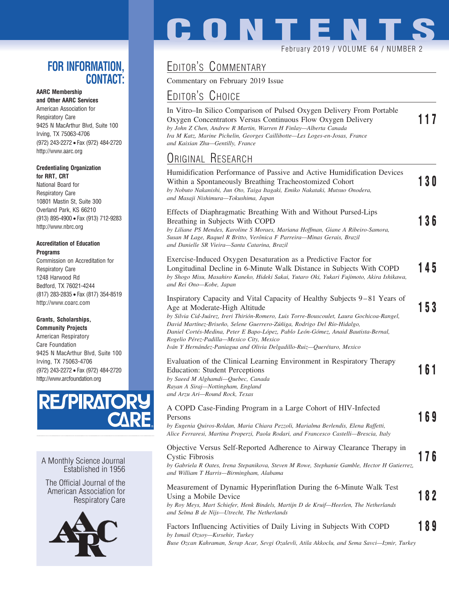## **FOR INFORMATION, CONTACT:**

## **AARC Membership**

**and Other AARC Services** American Association for Respiratory Care 9425 N MacArthur Blvd, Suite 100 Irving, TX 75063-4706 (972) 243-2272 • Fax (972) 484-2720 http://www.aarc.org

#### **Credentialing Organization for RRT, CRT**

National Board for Respiratory Care 10801 Mastin St, Suite 300 Overland Park, KS 66210 (913) 895-4900 • Fax (913) 712-9283 http://www.nbrc.org

#### **Accreditation of Education Programs**

Commission on Accreditation for Respiratory Care 1248 Harwood Rd Bedford, TX 76021-4244 (817) 283-2835 • Fax (817) 354-8519 http://www.coarc.com

#### **Grants, Scholarships,**

**Community Projects** American Respiratory Care Foundation 9425 N MacArthur Blvd, Suite 100 Irving, TX 75063-4706 (972) 243-2272 • Fax (972) 484-2720 http://www.arcfoundation.org



A Monthly Science Journal Established in 1956

The Official Journal of the American Association for Respiratory Care



# **CONTENTS**

#### February 2019 / VOLUME 64 / NUMBER 2

# EDITOR'S COMMENTARY

Commentary on February 2019 Issue

## EDITOR'S CHOICE

| In Vitro–In Silico Comparison of Pulsed Oxygen Delivery From Portable       |     |
|-----------------------------------------------------------------------------|-----|
| Oxygen Concentrators Versus Continuous Flow Oxygen Delivery                 | 117 |
| by John Z Chen, Andrew R Martin, Warren H Finlay—Alberta Canada             |     |
| Ira M Katz, Marine Pichelin, Georges Caillibotte—Les Loges-en-Josas, France |     |
| and Kaixian Zhu—Gentilly, France                                            |     |
|                                                                             |     |

## ORIGINAL RESEARCH

| Humidification Performance of Passive and Active Humidification Devices<br>Within a Spontaneously Breathing Tracheostomized Cohort<br>by Nobuto Nakanishi, Jun Oto, Taiga Itagaki, Emiko Nakataki, Mutsuo Onodera,<br>and Masaji Nishimura—Tokushima, Japan                                                                                                                                                                                                                                      | 130 |
|--------------------------------------------------------------------------------------------------------------------------------------------------------------------------------------------------------------------------------------------------------------------------------------------------------------------------------------------------------------------------------------------------------------------------------------------------------------------------------------------------|-----|
| Effects of Diaphragmatic Breathing With and Without Pursed-Lips<br>Breathing in Subjects With COPD<br>by Liliane PS Mendes, Karoline S Moraes, Mariana Hoffman, Giane A Ribeiro-Samora,<br>Susan M Lage, Raquel R Britto, Verônica F Parreira-Minas Gerais, Brazil<br>and Danielle SR Vieira-Santa Catarina, Brazil                                                                                                                                                                              | 136 |
| Exercise-Induced Oxygen Desaturation as a Predictive Factor for<br>Longitudinal Decline in 6-Minute Walk Distance in Subjects With COPD<br>by Shogo Misu, Masahiro Kaneko, Hideki Sakai, Yutaro Oki, Yukari Fujimoto, Akira Ishikawa,<br>and Rei Ono-Kobe, Japan                                                                                                                                                                                                                                 | 145 |
| Inspiratory Capacity and Vital Capacity of Healthy Subjects 9-81 Years of<br>Age at Moderate-High Altitude<br>by Silvia Cid-Juárez, Ireri Thirión-Romero, Luis Torre-Bouscoulet, Laura Gochicoa-Rangel,<br>David Martínez-Briseño, Selene Guerrero-Zúñiga, Rodrigo Del Río-Hidalgo,<br>Daniel Cortés-Medina, Peter E Bapo-López, Pablo León-Gómez, Anaid Bautista-Bernal,<br>Rogelio Pérez-Padilla—Mexico City, Mexico<br>Iván Y Hernández-Paniagua and Olivia Delgadillo-Ruiz—Querétaro, Mexico | 153 |
| Evaluation of the Clinical Learning Environment in Respiratory Therapy<br><b>Education: Student Perceptions</b><br>by Saeed M Alghamdi-Quebec, Canada<br>Rayan A Siraj—Nottingham, England<br>and Arzu Ari-Round Rock, Texas                                                                                                                                                                                                                                                                     | 161 |
| A COPD Case-Finding Program in a Large Cohort of HIV-Infected<br>Persons<br>by Eugenia Quiros-Roldan, Maria Chiara Pezzoli, Marialma Berlendis, Elena Raffetti,<br>Alice Ferraresi, Martina Properzi, Paola Rodari, and Francesco Castelli-Brescia, Italy                                                                                                                                                                                                                                        | 169 |
| Objective Versus Self-Reported Adherence to Airway Clearance Therapy in<br>Cystic Fibrosis<br>by Gabriela R Oates, Irena Stepanikova, Steven M Rowe, Stephanie Gamble, Hector H Gutierrez,<br>and William T Harris-Birmingham, Alabama                                                                                                                                                                                                                                                           | 176 |
| Measurement of Dynamic Hyperinflation During the 6-Minute Walk Test<br>Using a Mobile Device<br>by Roy Moys, Mart Schiefer, Henk Rindels, Martiin D de Kruit-Heerlen, The Netherlands                                                                                                                                                                                                                                                                                                            | 82  |

*by Roy Meys, Mart Schiefer, Henk Bindels, Martijn D de Kruif—Heerlen, The Netherlands and Selma B de Nijs—Utrecht, The Netherlands*

### Factors Influencing Activities of Daily Living in Subjects With COPD **189** *by Ismail Ozsoy—Kırsehir, Turkey*

*Buse Ozcan Kahraman, Serap Acar, Sevgi Ozalevli, Atila Akkoclu, and Sema Savci—Izmir, Turkey*